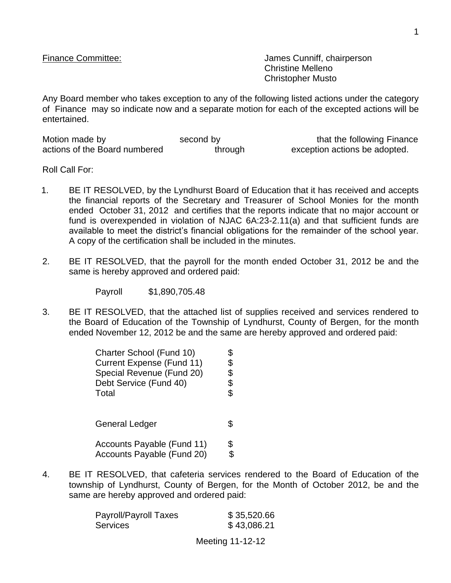Finance Committee:  $\blacksquare$  James Cunniff, chairperson Christine Melleno Christopher Musto

Any Board member who takes exception to any of the following listed actions under the category of Finance may so indicate now and a separate motion for each of the excepted actions will be entertained.

| Motion made by                | second by | that the following Finance    |
|-------------------------------|-----------|-------------------------------|
| actions of the Board numbered | through   | exception actions be adopted. |

Roll Call For:

- 1. BE IT RESOLVED, by the Lyndhurst Board of Education that it has received and accepts the financial reports of the Secretary and Treasurer of School Monies for the month ended October 31, 2012 and certifies that the reports indicate that no major account or fund is overexpended in violation of NJAC 6A:23-2.11(a) and that sufficient funds are available to meet the district's financial obligations for the remainder of the school year. A copy of the certification shall be included in the minutes.
- 2. BE IT RESOLVED, that the payroll for the month ended October 31, 2012 be and the same is hereby approved and ordered paid:

Payroll \$1,890,705.48

3. BE IT RESOLVED, that the attached list of supplies received and services rendered to the Board of Education of the Township of Lyndhurst, County of Bergen, for the month ended November 12, 2012 be and the same are hereby approved and ordered paid:

| Charter School (Fund 10)<br>Current Expense (Fund 11)<br>Special Revenue (Fund 20)<br>Debt Service (Fund 40)<br>Total | \$ |
|-----------------------------------------------------------------------------------------------------------------------|----|
| <b>General Ledger</b>                                                                                                 | \$ |
| Accounts Payable (Fund 11)<br>Accounts Payable (Fund 20)                                                              | S  |

4. BE IT RESOLVED, that cafeteria services rendered to the Board of Education of the township of Lyndhurst, County of Bergen, for the Month of October 2012, be and the same are hereby approved and ordered paid:

| \$35,520.66 |
|-------------|
| \$43,086.21 |
|             |

Meeting 11-12-12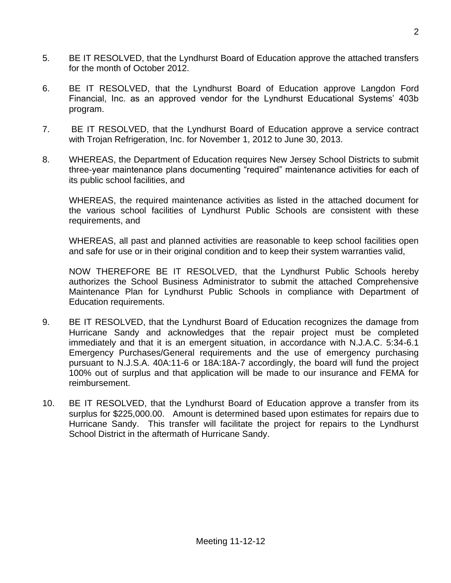- 5. BE IT RESOLVED, that the Lyndhurst Board of Education approve the attached transfers for the month of October 2012.
- 6. BE IT RESOLVED, that the Lyndhurst Board of Education approve Langdon Ford Financial, Inc. as an approved vendor for the Lyndhurst Educational Systems' 403b program.
- 7. BE IT RESOLVED, that the Lyndhurst Board of Education approve a service contract with Trojan Refrigeration, Inc. for November 1, 2012 to June 30, 2013.
- 8. WHEREAS, the Department of Education requires New Jersey School Districts to submit three-year maintenance plans documenting "required" maintenance activities for each of its public school facilities, and

WHEREAS, the required maintenance activities as listed in the attached document for the various school facilities of Lyndhurst Public Schools are consistent with these requirements, and

WHEREAS, all past and planned activities are reasonable to keep school facilities open and safe for use or in their original condition and to keep their system warranties valid,

NOW THEREFORE BE IT RESOLVED, that the Lyndhurst Public Schools hereby authorizes the School Business Administrator to submit the attached Comprehensive Maintenance Plan for Lyndhurst Public Schools in compliance with Department of Education requirements.

- 9. BE IT RESOLVED, that the Lyndhurst Board of Education recognizes the damage from Hurricane Sandy and acknowledges that the repair project must be completed immediately and that it is an emergent situation, in accordance with N.J.A.C. 5:34-6.1 Emergency Purchases/General requirements and the use of emergency purchasing pursuant to N.J.S.A. 40A:11-6 or 18A:18A-7 accordingly, the board will fund the project 100% out of surplus and that application will be made to our insurance and FEMA for reimbursement.
- 10. BE IT RESOLVED, that the Lyndhurst Board of Education approve a transfer from its surplus for \$225,000.00. Amount is determined based upon estimates for repairs due to Hurricane Sandy. This transfer will facilitate the project for repairs to the Lyndhurst School District in the aftermath of Hurricane Sandy.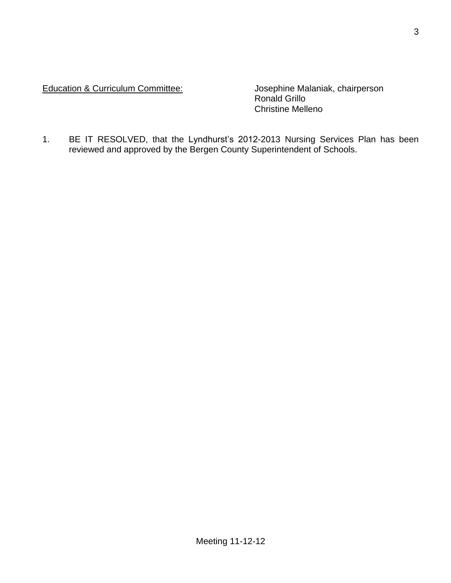## Education & Curriculum Committee: Josephine Malaniak, chairperson

Ronald Grillo Christine Melleno

1. BE IT RESOLVED, that the Lyndhurst's 2012-2013 Nursing Services Plan has been reviewed and approved by the Bergen County Superintendent of Schools.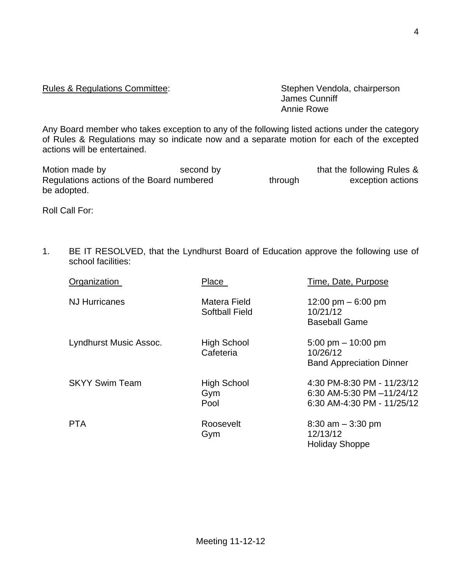## Meeting 11-12-12

## Rules & Regulations Committee: Stephen Vendola, chairperson

James Cunniff Annie Rowe

Any Board member who takes exception to any of the following listed actions under the category of Rules & Regulations may so indicate now and a separate motion for each of the excepted actions will be entertained.

| Motion made by                            | second by |         | that the following Rules & |
|-------------------------------------------|-----------|---------|----------------------------|
| Regulations actions of the Board numbered |           | through | exception actions          |
| be adopted.                               |           |         |                            |

Roll Call For:

1. BE IT RESOLVED, that the Lyndhurst Board of Education approve the following use of school facilities:

| Organization           | Place                                 | Time, Date, Purpose                                                                   |
|------------------------|---------------------------------------|---------------------------------------------------------------------------------------|
| <b>NJ Hurricanes</b>   | Matera Field<br><b>Softball Field</b> | 12:00 pm $-6:00$ pm<br>10/21/12<br><b>Baseball Game</b>                               |
| Lyndhurst Music Assoc. | <b>High School</b><br>Cafeteria       | 5:00 pm $-$ 10:00 pm<br>10/26/12<br><b>Band Appreciation Dinner</b>                   |
| <b>SKYY Swim Team</b>  | <b>High School</b><br>Gym<br>Pool     | 4:30 PM-8:30 PM - 11/23/12<br>6:30 AM-5:30 PM -11/24/12<br>6:30 AM-4:30 PM - 11/25/12 |
| <b>PTA</b>             | Roosevelt<br>Gym                      | $8:30$ am $-3:30$ pm<br>12/13/12<br><b>Holiday Shoppe</b>                             |